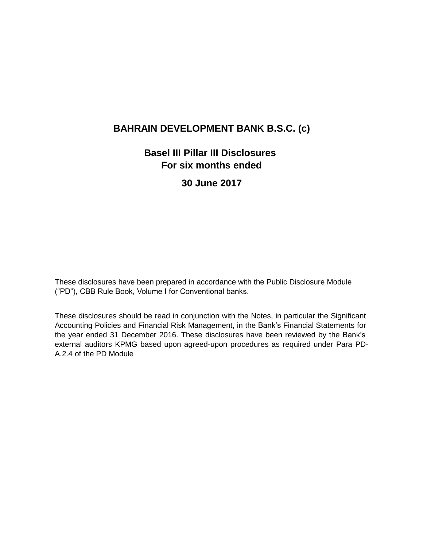# **BAHRAIN DEVELOPMENT BANK B.S.C. (c)**

# **Basel III Pillar III Disclosures For six months ended**

# **30 June 2017**

These disclosures have been prepared in accordance with the Public Disclosure Module ("PD"), CBB Rule Book, Volume I for Conventional banks.

These disclosures should be read in conjunction with the Notes, in particular the Significant Accounting Policies and Financial Risk Management, in the Bank's Financial Statements for the year ended 31 December 2016. These disclosures have been reviewed by the Bank's external auditors KPMG based upon agreed-upon procedures as required under Para PD-A.2.4 of the PD Module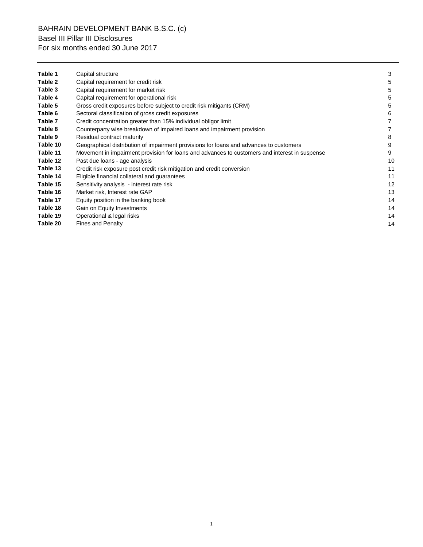BAHRAIN DEVELOPMENT BANK B.S.C. (c) Basel III Pillar III Disclosures For six months ended 30 June 2017

| Table 1  | Capital structure                                                                             | 3  |
|----------|-----------------------------------------------------------------------------------------------|----|
| Table 2  | Capital requirement for credit risk                                                           | 5  |
| Table 3  | Capital requirement for market risk                                                           | 5  |
| Table 4  | Capital requirement for operational risk                                                      | 5  |
| Table 5  | Gross credit exposures before subject to credit risk mitigants (CRM)                          | 5  |
| Table 6  | Sectoral classification of gross credit exposures                                             | 6  |
| Table 7  | Credit concentration greater than 15% individual obligor limit                                |    |
| Table 8  | Counterparty wise breakdown of impaired loans and impairment provision                        |    |
| Table 9  | Residual contract maturity                                                                    | 8  |
| Table 10 | Geographical distribution of impairment provisions for loans and advances to customers        | 9  |
| Table 11 | Movement in impairment provision for loans and advances to customers and interest in suspense | 9  |
| Table 12 | Past due loans - age analysis                                                                 | 10 |
| Table 13 | Credit risk exposure post credit risk mitigation and credit conversion                        | 11 |
| Table 14 | Eligible financial collateral and guarantees                                                  | 11 |
| Table 15 | Sensitivity analysis - interest rate risk                                                     | 12 |
| Table 16 | Market risk, Interest rate GAP                                                                | 13 |
| Table 17 | Equity position in the banking book                                                           | 14 |
| Table 18 | Gain on Equity Investments                                                                    | 14 |
| Table 19 | Operational & legal risks                                                                     | 14 |
| Table 20 | <b>Fines and Penalty</b>                                                                      | 14 |
|          |                                                                                               |    |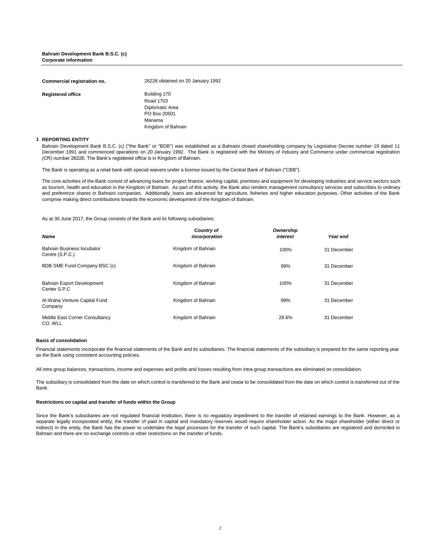### **Bahrain Development Bank B.S.C. (c) Corporate information**

| Commercial registration no. | 26226 obtained on 20 January 1992                                                            |
|-----------------------------|----------------------------------------------------------------------------------------------|
| <b>Registered office</b>    | Building 170<br>Road 1703<br>Diplomatic Area<br>PO Box 20501<br>Manama<br>Kingdom of Bahrain |

### **1 REPORTING ENTITY**

Bahrain Development Bank B.S.C. (c) ("the Bank" or "BDB") was established as a Bahraini closed shareholding company by Legislative Decree number 19 dated 11 December 1991 and commenced operations on 20 January 1992. The Bank is registered with the Ministry of Industry and Commerce under commercial registration (CR) number 26226. The Bank's registered office is in Kingdom of Bahrain.

The Bank is operating as a retail bank with special waivers under a license issued by the Central Bank of Bahrain ("CBB").

The core activities of the Bank consist of advancing loans for project finance, working capital, premises and equipment for developing industries and service sectors such as tourism, health and education in the Kingdom of Bahrain. As part of this activity, the Bank also renders management consultancy services and subscribes to ordinary and preference shares in Bahraini companies. Additionally, loans are advanced for agriculture, fisheries and higher education purposes. Other activities of the Bank comprise making direct contributions towards the economic development of the Kingdom of Bahrain.

As at 30 June 2017, the Group consists of the Bank and its following subsidiaries:

| Name                                              | Country of<br>incorporation | Ownership<br>interest | Year end    |
|---------------------------------------------------|-----------------------------|-----------------------|-------------|
| Bahrain Business Incubator<br>Centre (S.P.C.)     | Kingdom of Bahrain          | 100%                  | 31 December |
| BDB SME Fund Company BSC (c)                      | Kingdom of Bahrain          | 99%                   | 31 December |
| <b>Bahrain Export Development</b><br>Center S.P.C | Kingdom of Bahrain          | 100%                  | 31 December |
| Al-Waha Venture Capital Fund<br>Company           | Kingdom of Bahrain          | 99%                   | 31 December |
| Middle East Corner Consultancy<br>CO. WLL         | Kingdom of Bahrain          | 28.6%                 | 31 December |

## **Basis of consolidation**

Financial statements incorporate the financial statements of the Bank and its subsidiaries. The financial statements of the subsidiary is prepared for the same reporting year as the Bank using consistent accounting policies.

All intra group balances, transactions, income and expenses and profits and losses resulting from intra-group transactions are eliminated on consolidation.

The subsidiary is consolidated from the date on which control is transferred to the Bank and cease to be consolidated from the date on which control is transferred out of the Bank.

### **Restrictions on capital and transfer of funds within the Group**

Since the Bank's subsidiaries are not regulated financial institution, there is no regulatory impediment to the transfer of retained earnings to the Bank. However, as a separate legally incorporated entity, the transfer of paid in capital and mandatory reserves would require shareholder action. As the major shareholder (either direct or indirect) in the entity, the Bank has the power to undertake the legal processes for the transfer of such capital. The Bank's subsidiaries are registered and domiciled in Bahrain and there are no exchange controls or other restrictions on the transfer of funds.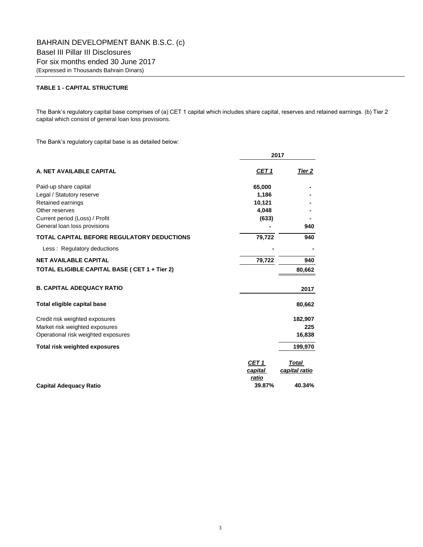## **TABLE 1 - CAPITAL STRUCTURE**

The Bank's regulatory capital base comprises of (a) CET 1 capital which includes share capital, reserves and retained earnings. (b) Tier 2 capital which consist of general loan loss provisions.

The Bank's regulatory capital base is as detailed below:

|                                                   |                                      | 2017                          |
|---------------------------------------------------|--------------------------------------|-------------------------------|
| A. NET AVAILABLE CAPITAL                          | <u>CET 1</u>                         | Tier 2                        |
| Paid-up share capital                             | 65,000                               |                               |
| Legal / Statutory reserve                         | 1,186                                |                               |
| Retained earnings                                 | 10,121                               |                               |
| Other reserves                                    | 4,048                                |                               |
| Current period (Loss) / Profit                    | (633)                                |                               |
| General loan loss provisions                      |                                      | 940                           |
| <b>TOTAL CAPITAL BEFORE REGULATORY DEDUCTIONS</b> | 79,722                               | 940                           |
| Less: Regulatory deductions                       |                                      |                               |
| <b>NET AVAILABLE CAPITAL</b>                      | 79,722                               | 940                           |
| TOTAL ELIGIBLE CAPITAL BASE ( CET 1 + Tier 2)     |                                      | 80,662                        |
| <b>B. CAPITAL ADEQUACY RATIO</b>                  |                                      | 2017                          |
| Total eligible capital base                       |                                      | 80,662                        |
| Credit risk weighted exposures                    |                                      | 182,907                       |
| Market risk weighted exposures                    |                                      | 225                           |
| Operational risk weighted exposures               |                                      | 16,838                        |
| <b>Total risk weighted exposures</b>              |                                      | 199,970                       |
|                                                   | CET <sub>1</sub><br>capital<br>ratio | <b>Total</b><br>capital ratio |
| <b>Capital Adequacy Ratio</b>                     | 39.87%                               | 40.34%                        |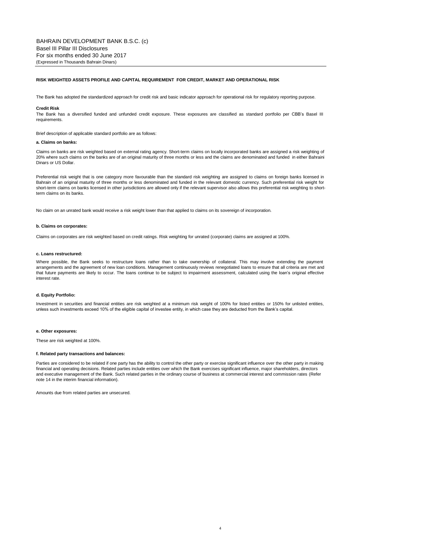#### **RISK WEIGHTED ASSETS PROFILE AND CAPITAL REQUIREMENT FOR CREDIT, MARKET AND OPERATIONAL RISK**

The Bank has adopted the standardized approach for credit risk and basic indicator approach for operational risk for regulatory reporting purpose.

#### **Credit Risk**

The Bank has a diversified funded and unfunded credit exposure. These exposures are classified as standard portfolio per CBB's Basel III requirements.

Brief description of applicable standard portfolio are as follows:

#### **a. Claims on banks:**

Claims on banks are risk weighted based on external rating agency. Short-term claims on locally incorporated banks are assigned a risk weighting of 20% where such claims on the banks are of an original maturity of three months or less and the claims are denominated and funded in either Bahraini Dinars or US Dollar.

Preferential risk weight that is one category more favourable than the standard risk weighting are assigned to claims on foreign banks licensed in Bahrain of an original maturity of three months or less denominated and funded in the relevant domestic currency. Such preferential risk weight for short-term claims on banks licensed in other jurisdictions are allowed only if the relevant supervisor also allows this preferential risk weighting to shortterm claims on its banks.

No claim on an unrated bank would receive a risk weight lower than that applied to claims on its sovereign of incorporation.

#### **b. Claims on corporates:**

Claims on corporates are risk weighted based on credit ratings. Risk weighting for unrated (corporate) claims are assigned at 100%.

#### **c. Loans restructured:**

Where possible, the Bank seeks to restructure loans rather than to take ownership of collateral. This may involve extending the payment arrangements and the agreement of new loan conditions. Management continuously reviews renegotiated loans to ensure that all criteria are met and that future payments are likely to occur. The loans continue to be subject to impairment assessment, calculated using the loan's original effective interest rate.

### **d. Equity Portfolio:**

Investment in securities and financial entities are risk weighted at a minimum risk weight of 100% for listed entities or 150% for unlisted entities, unless such investments exceed 10% of the eligible capital of investee entity, in which case they are deducted from the Bank's capital.

#### **e. Other exposures:**

These are risk weighted at 100%.

#### **f. Related party transactions and balances:**

Parties are considered to be related if one party has the ability to control the other party or exercise significant influence over the other party in making financial and operating decisions. Related parties include entities over which the Bank exercises significant influence, major shareholders, directors and executive management of the Bank. Such related parties in the ordinary course of business at commercial interest and commission rates (Refer note 14 in the interim financial information).

4

Amounts due from related parties are unsecured.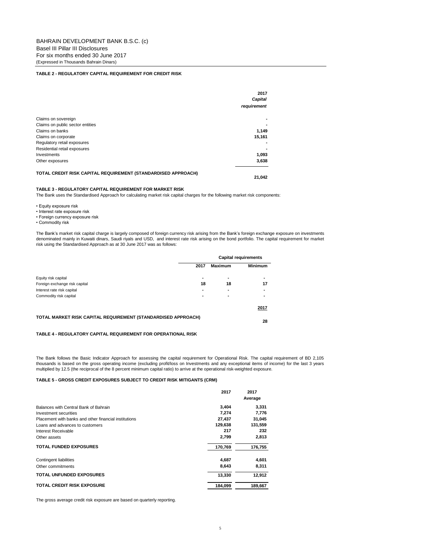## **TABLE 2 - REGULATORY CAPITAL REQUIREMENT FOR CREDIT RISK**

|                                                               | 2017<br>Capital |
|---------------------------------------------------------------|-----------------|
|                                                               | requirement     |
|                                                               |                 |
| Claims on sovereign                                           |                 |
| Claims on public sector entities                              |                 |
| Claims on banks                                               | 1,149           |
| Claims on corporate                                           | 15,161          |
| Regulatory retail exposures                                   |                 |
| Residential retail exposures                                  |                 |
| Investments                                                   | 1,093           |
| Other exposures                                               | 3,638           |
| TOTAL CREDIT RISK CAPITAL REQUIREMENT (STANDARDISED APPROACH) | 21.042          |

### **TABLE 3 - REGULATORY CAPITAL REQUIREMENT FOR MARKET RISK**

The Bank uses the Standardised Approach for calculating market risk capital charges for the following market risk components:

- Equity exposure risk
- Interest rate exposure risk
- Foreign currency exposure risk
- Commodity risk

The Bank's market risk capital charge is largely composed of foreign currency risk arising from the Bank's foreign exchange exposure on investments denominated mainly in Kuwaiti dinars, Saudi riyals and USD, and interest rate risk arising on the bond portfolio. The capital requirement for market risk using the Standardised Approach as at 30 June 2017 was as follows:

|                                                               |                          |                | <b>Capital requirements</b> |  |
|---------------------------------------------------------------|--------------------------|----------------|-----------------------------|--|
|                                                               | 2017                     | <b>Maximum</b> | <b>Minimum</b>              |  |
| Equity risk capital                                           | $\overline{\phantom{a}}$ |                |                             |  |
| Foreign exchange risk capital                                 | 18                       | 18             | 17                          |  |
| Interest rate risk capital                                    |                          |                |                             |  |
| Commodity risk capital                                        | $\overline{\phantom{a}}$ |                | ۰                           |  |
|                                                               |                          |                | 2017                        |  |
| TOTAL MARKET RISK CAPITAL REQUIREMENT (STANDARDISED APPROACH) |                          |                | 28                          |  |

## **TABLE 4 - REGULATORY CAPITAL REQUIREMENT FOR OPERATIONAL RISK**

The Bank follows the Basic Indicator Approach for assessing the capital requirement for Operational Risk. The capital requirement of BD 2,105<br>thousands is based on the gross operating income (excluding profit/loss on Inves multiplied by 12.5 (the reciprocal of the 8 percent minimum capital ratio) to arrive at the operational risk-weighted exposure.

## **TABLE 5 - GROSS CREDIT EXPOSURES SUBJECT TO CREDIT RISK MITIGANTS (CRM)**

|                                                       | 2017    | 2017<br>Average |
|-------------------------------------------------------|---------|-----------------|
| Balances with Central Bank of Bahrain                 | 3,404   | 3,331           |
| Investment securities                                 | 7,274   | 7,776           |
| Placement with banks and other financial institutions | 27,437  | 31,045          |
| Loans and advances to customers                       | 129,638 | 131,559         |
| Interest Receivable                                   | 217     | 232             |
| Other assets                                          | 2,799   | 2,813           |
| <b>TOTAL FUNDED EXPOSURES</b>                         | 170,769 | 176,755         |
| <b>Contingent liabilities</b>                         | 4,687   | 4,601           |
| Other commitments                                     | 8,643   | 8,311           |
| <b>TOTAL UNFUNDED EXPOSURES</b>                       | 13,330  | 12,912          |
| TOTAL CREDIT RISK EXPOSURE                            | 184.099 | 189,667         |

The gross average credit risk exposure are based on quarterly reporting.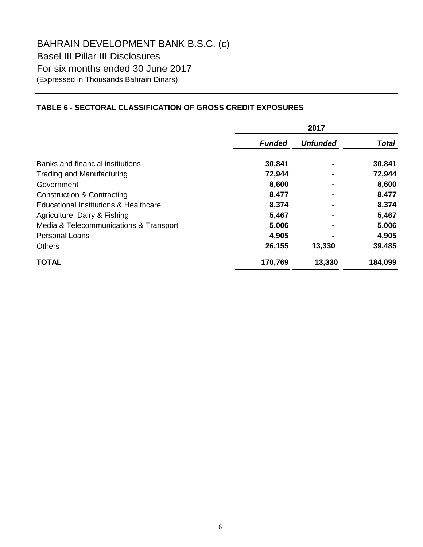# BAHRAIN DEVELOPMENT BANK B.S.C. (c) Basel III Pillar III Disclosures For six months ended 30 June 2017 (Expressed in Thousands Bahrain Dinars)

## **TABLE 6 - SECTORAL CLASSIFICATION OF GROSS CREDIT EXPOSURES**

|                                        | 2017          |                 |              |  |
|----------------------------------------|---------------|-----------------|--------------|--|
|                                        | <b>Funded</b> | <b>Unfunded</b> | <b>Total</b> |  |
| Banks and financial institutions       | 30,841        |                 | 30,841       |  |
| <b>Trading and Manufacturing</b>       | 72,944        |                 | 72,944       |  |
| Government                             | 8,600         |                 | 8,600        |  |
| <b>Construction &amp; Contracting</b>  | 8,477         |                 | 8,477        |  |
| Educational Institutions & Healthcare  | 8,374         |                 | 8,374        |  |
| Agriculture, Dairy & Fishing           | 5,467         |                 | 5,467        |  |
| Media & Telecommunications & Transport | 5,006         |                 | 5,006        |  |
| <b>Personal Loans</b>                  | 4,905         |                 | 4,905        |  |
| <b>Others</b>                          | 26,155        | 13,330          | 39,485       |  |
| <b>TOTAL</b>                           | 170,769       | 13,330          | 184,099      |  |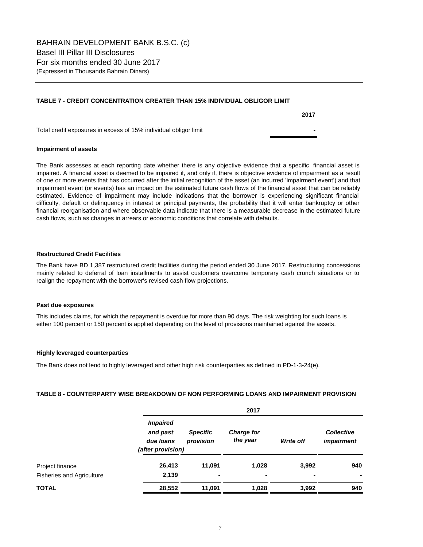## **TABLE 7 - CREDIT CONCENTRATION GREATER THAN 15% INDIVIDUAL OBLIGOR LIMIT**

**2017**

Total credit exposures in excess of 15% individual obligor limit **-** 

### **Impairment of assets**

The Bank assesses at each reporting date whether there is any objective evidence that a specific financial asset is impaired. A financial asset is deemed to be impaired if, and only if, there is objective evidence of impairment as a result of one or more events that has occurred after the initial recognition of the asset (an incurred 'impairment event') and that impairment event (or events) has an impact on the estimated future cash flows of the financial asset that can be reliably estimated. Evidence of impairment may include indications that the borrower is experiencing significant financial difficulty, default or delinquency in interest or principal payments, the probability that it will enter bankruptcy or other financial reorganisation and where observable data indicate that there is a measurable decrease in the estimated future cash flows, such as changes in arrears or economic conditions that correlate with defaults.

## **Restructured Credit Facilities**

The Bank have BD 1,387 restructured credit facilities during the period ended 30 June 2017. Restructuring concessions mainly related to deferral of loan installments to assist customers overcome temporary cash crunch situations or to realign the repayment with the borrower's revised cash flow projections.

## **Past due exposures**

This includes claims, for which the repayment is overdue for more than 90 days. The risk weighting for such loans is either 100 percent or 150 percent is applied depending on the level of provisions maintained against the assets.

## **Highly leveraged counterparties**

The Bank does not lend to highly leveraged and other high risk counterparties as defined in PD-1-3-24(e).

## **TABLE 8 - COUNTERPARTY WISE BREAKDOWN OF NON PERFORMING LOANS AND IMPAIRMENT PROVISION**

|                                  |                                                               |                              | 2017                          |                  |                                 |  |
|----------------------------------|---------------------------------------------------------------|------------------------------|-------------------------------|------------------|---------------------------------|--|
|                                  | <b>Impaired</b><br>and past<br>due loans<br>(after provision) | <b>Specific</b><br>provision | <b>Charge for</b><br>the year | <b>Write off</b> | <b>Collective</b><br>impairment |  |
| Project finance                  | 26,413                                                        | 11,091                       | 1,028                         | 3,992            | 940                             |  |
| <b>Fisheries and Agriculture</b> | 2,139                                                         | $\blacksquare$               | $\blacksquare$                | ۰                | ٠                               |  |
| <b>TOTAL</b>                     | 28,552                                                        | 11,091                       | 1,028                         | 3,992            | 940                             |  |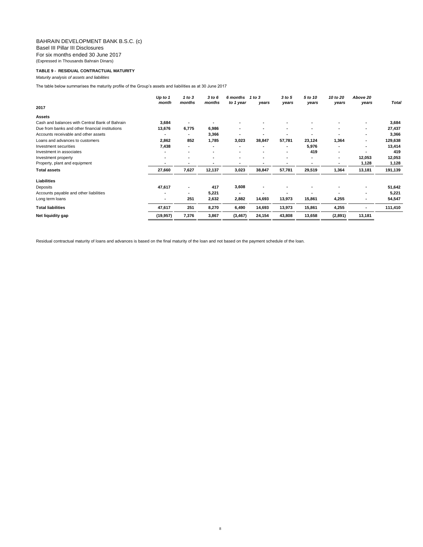## BAHRAIN DEVELOPMENT BANK B.S.C. (c) Basel III Pillar III Disclosures For six months ended 30 June 2017 (Expressed in Thousands Bahrain Dinars)

### **TABLE 9 - RESIDUAL CONTRACTUAL MATURITY**

*Maturity analysis of assets and liabilities*

The table below summarises the maturity profile of the Group's assets and liabilities as at 30 June 2017

|                                                 | Up to 1                  | 1 to 3         | 3 to 6 | 6 months  | 1 to 3                   | 3 to 5 | 5 to 10                  | 10 to 20 | Above 20       |         |
|-------------------------------------------------|--------------------------|----------------|--------|-----------|--------------------------|--------|--------------------------|----------|----------------|---------|
| 2017                                            | month                    | months         | months | to 1 year | years                    | years  | years                    | years    | years          | Total   |
| <b>Assets</b>                                   |                          |                |        |           |                          |        |                          |          |                |         |
| Cash and balances with Central Bank of Bahrain  | 3,684                    |                |        |           | ۰                        |        |                          |          | ۰              | 3,684   |
| Due from banks and other financial institutions | 13,676                   | 6,775          | 6,986  |           | $\overline{\phantom{a}}$ |        | $\overline{\phantom{a}}$ |          | $\blacksquare$ | 27,437  |
| Accounts receivable and other assets            |                          |                | 3,366  |           |                          |        |                          |          |                | 3,366   |
| Loans and advances to customers                 | 2,862                    | 852            | 1,785  | 3,023     | 38,847                   | 57,781 | 23,124                   | 1,364    | $\blacksquare$ | 129,638 |
| Investment securities                           | 7,438                    |                |        |           | ۰                        |        | 5,976                    |          | $\blacksquare$ | 13,414  |
| Investment in associates                        |                          |                |        |           | ۰                        |        | 419                      |          |                | 419     |
| Investment property                             | $\overline{\phantom{a}}$ |                |        |           | ۰                        |        | $\overline{\phantom{a}}$ | ۰.       | 12,053         | 12,053  |
| Property, plant and equipment                   |                          |                |        |           |                          |        |                          |          | 1,128          | 1,128   |
| <b>Total assets</b>                             | 27,660                   | 7,627          | 12,137 | 3,023     | 38,847                   | 57,781 | 29,519                   | 1,364    | 13,181         | 191,139 |
| Liabilities                                     |                          |                |        |           |                          |        |                          |          |                |         |
| Deposits                                        | 47,617                   | $\blacksquare$ | 417    | 3,608     | ٠                        |        |                          |          | ٠              | 51,642  |
| Accounts payable and other liabilities          |                          |                | 5,221  |           |                          |        |                          |          | $\blacksquare$ | 5,221   |
| Long term loans                                 | $\overline{\phantom{a}}$ | 251            | 2,632  | 2,882     | 14,693                   | 13,973 | 15,861                   | 4,255    |                | 54,547  |
| <b>Total liabilities</b>                        | 47,617                   | 251            | 8,270  | 6,490     | 14,693                   | 13,973 | 15,861                   | 4,255    |                | 111,410 |
| Net liquidity gap                               | (19, 957)                | 7,376          | 3,867  | (3, 467)  | 24,154                   | 43,808 | 13,658                   | (2,891)  | 13,181         |         |

8

Residual contractual maturity of loans and advances is based on the final maturity of the loan and not based on the payment schedule of the loan.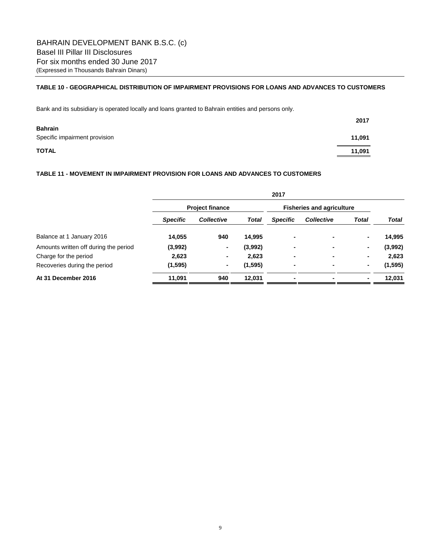## **TABLE 10 - GEOGRAPHICAL DISTRIBUTION OF IMPAIRMENT PROVISIONS FOR LOANS AND ADVANCES TO CUSTOMERS**

Bank and its subsidiary is operated locally and loans granted to Bahrain entities and persons only.

|                               | 2017   |
|-------------------------------|--------|
| <b>Bahrain</b>                |        |
| Specific impairment provision | 11,091 |
| <b>TOTAL</b>                  | 11,091 |

## **TABLE 11 - MOVEMENT IN IMPAIRMENT PROVISION FOR LOANS AND ADVANCES TO CUSTOMERS**

|                                       |                        |                   |          | 2017            |                                  |                |          |
|---------------------------------------|------------------------|-------------------|----------|-----------------|----------------------------------|----------------|----------|
|                                       | <b>Project finance</b> |                   |          |                 | <b>Fisheries and agriculture</b> |                |          |
|                                       | <b>Specific</b>        | <b>Collective</b> | Total    | <b>Specific</b> | <b>Collective</b>                | <b>Total</b>   | Total    |
| Balance at 1 January 2016             | 14,055                 | 940               | 14,995   | ٠               | $\blacksquare$                   | $\blacksquare$ | 14,995   |
| Amounts written off during the period | (3,992)                | $\sim$            | (3,992)  | $\blacksquare$  | $\blacksquare$                   | $\blacksquare$ | (3,992)  |
| Charge for the period                 | 2,623                  | $\sim$            | 2,623    | ۰               | $\blacksquare$                   | $\blacksquare$ | 2,623    |
| Recoveries during the period          | (1, 595)               | ۰.                | (1, 595) | ۰               | $\blacksquare$                   | $\blacksquare$ | (1, 595) |
| At 31 December 2016                   | 11,091                 | 940               | 12,031   | ۰               | $\blacksquare$                   | ۰              | 12,031   |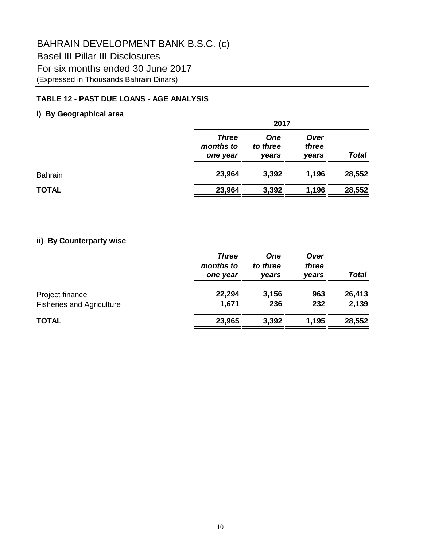# BAHRAIN DEVELOPMENT BANK B.S.C. (c) Basel III Pillar III Disclosures For six months ended 30 June 2017 (Expressed in Thousands Bahrain Dinars)

# **TABLE 12 - PAST DUE LOANS - AGE ANALYSIS**

# **i) By Geographical area**

|                |                                       | 2017                            |                        |              |
|----------------|---------------------------------------|---------------------------------|------------------------|--------------|
|                | <b>Three</b><br>months to<br>one year | <b>One</b><br>to three<br>vears | Over<br>three<br>vears | <b>Total</b> |
| <b>Bahrain</b> | 23,964                                | 3,392                           | 1,196                  | 28,552       |
| <b>TOTAL</b>   | 23,964                                | 3,392                           | 1,196                  | 28,552       |

# **ii) By Counterparty wise**

|                                  | <b>Three</b><br>months to<br>one year | <b>One</b><br>to three<br>years | Over<br>three<br>years | <b>Total</b> |
|----------------------------------|---------------------------------------|---------------------------------|------------------------|--------------|
| Project finance                  | 22,294                                | 3,156                           | 963                    | 26,413       |
| <b>Fisheries and Agriculture</b> | 1,671                                 | 236                             | 232                    | 2,139        |
| <b>TOTAL</b>                     | 23,965                                | 3,392                           | 1,195                  | 28,552       |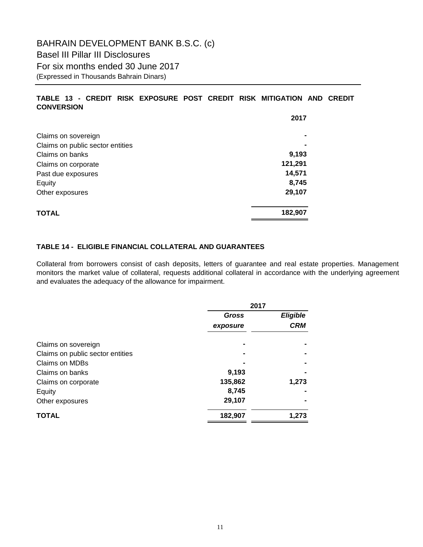## **TABLE 13 - CREDIT RISK EXPOSURE POST CREDIT RISK MITIGATION AND CREDIT CONVERSION**

|                                  | 2017    |
|----------------------------------|---------|
| Claims on sovereign              |         |
| Claims on public sector entities |         |
| Claims on banks                  | 9,193   |
| Claims on corporate              | 121,291 |
| Past due exposures               | 14,571  |
| Equity                           | 8,745   |
| Other exposures                  | 29,107  |
| <b>TOTAL</b>                     | 182,907 |

## **TABLE 14 - ELIGIBLE FINANCIAL COLLATERAL AND GUARANTEES**

Collateral from borrowers consist of cash deposits, letters of guarantee and real estate properties. Management monitors the market value of collateral, requests additional collateral in accordance with the underlying agreement and evaluates the adequacy of the allowance for impairment.

|                                  | 2017           |            |
|----------------------------------|----------------|------------|
|                                  | <b>Gross</b>   | Eligible   |
|                                  | exposure       | <b>CRM</b> |
| Claims on sovereign              |                |            |
| Claims on public sector entities |                |            |
| <b>Claims on MDBs</b>            | $\blacksquare$ |            |
| Claims on banks                  | 9,193          |            |
| Claims on corporate              | 135,862        | 1,273      |
| Equity                           | 8,745          |            |
| Other exposures                  | 29,107         |            |
| <b>TOTAL</b>                     | 182,907        | 1,273      |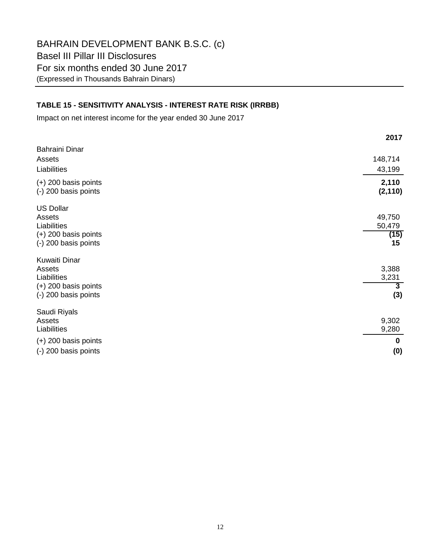# **TABLE 15 - SENSITIVITY ANALYSIS - INTEREST RATE RISK (IRRBB)**

Impact on net interest income for the year ended 30 June 2017

|                                                                                             | 2017                                    |
|---------------------------------------------------------------------------------------------|-----------------------------------------|
| <b>Bahraini Dinar</b><br>Assets<br>Liabilities                                              | 148,714<br>43,199                       |
| $(+)$ 200 basis points<br>(-) 200 basis points                                              | 2,110<br>(2, 110)                       |
| <b>US Dollar</b><br>Assets<br>Liabilities<br>$(+)$ 200 basis points<br>(-) 200 basis points | 49,750<br>50,479<br>(15)<br>15          |
| Kuwaiti Dinar<br>Assets<br>Liabilities<br>$(+)$ 200 basis points<br>(-) 200 basis points    | 3,388<br>3,231<br>$\overline{3}$<br>(3) |
| Saudi Riyals<br>Assets<br>Liabilities<br>$(+)$ 200 basis points<br>(-) 200 basis points     | 9,302<br>9,280<br>$\bf{0}$<br>(0)       |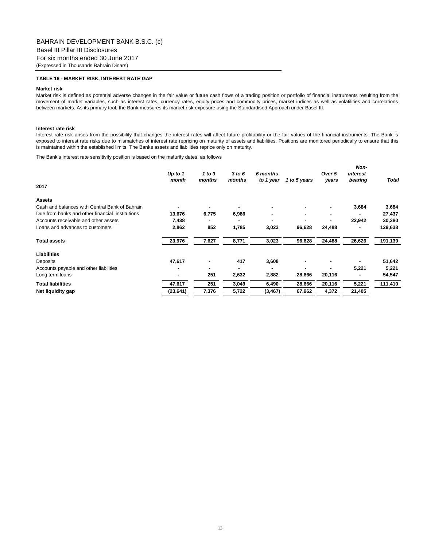## **TABLE 16 - MARKET RISK, INTEREST RATE GAP**

#### **Market risk**

Market risk is defined as potential adverse changes in the fair value or future cash flows of a trading position or portfolio of financial instruments resulting from the movement of market variables, such as interest rates, currency rates, equity prices and commodity prices, market indices as well as volatilities and correlations between markets. As its primary tool, the Bank measures its market risk exposure using the Standardised Approach under Basel III.

### **Interest rate risk**

Interest rate risk arises from the possibility that changes the interest rates will affect future profitability or the fair values of the financial instruments. The Bank is exposed to interest rate risks due to mismatches of interest rate repricing on maturity of assets and liabilities. Positions are monitored periodically to ensure that this is maintained within the established limits. The Banks assets and liabilities reprice only on maturity.

The Bank's interest rate sensitivity position is based on the maturity dates, as follows

| 2017                                            | Up to $1$<br>month | 1 to $3$<br>months | 3 to 6<br>months | 6 months<br>to 1 year | 1 to 5 years | Over 5<br>years | Non-<br>interest<br>bearing | <b>Total</b> |
|-------------------------------------------------|--------------------|--------------------|------------------|-----------------------|--------------|-----------------|-----------------------------|--------------|
| <b>Assets</b>                                   |                    |                    |                  |                       |              |                 |                             |              |
| Cash and balances with Central Bank of Bahrain  |                    |                    |                  | ۰                     |              | ٠               | 3,684                       | 3,684        |
| Due from banks and other financial institutions | 13,676             | 6,775              | 6,986            | ۰                     | ۰            | ۰               |                             | 27,437       |
| Accounts receivable and other assets            | 7,438              |                    |                  |                       |              |                 | 22,942                      | 30,380       |
| Loans and advances to customers                 | 2,862              | 852                | 1,785            | 3,023                 | 96,628       | 24,488          |                             | 129,638      |
| <b>Total assets</b>                             | 23,976             | 7,627              | 8,771            | 3,023                 | 96,628       | 24,488          | 26,626                      | 191,139      |
| <b>Liabilities</b>                              |                    |                    |                  |                       |              |                 |                             |              |
| Deposits                                        | 47,617             | ۰                  | 417              | 3,608                 |              | ۰               |                             | 51,642       |
| Accounts payable and other liabilities          |                    |                    |                  |                       |              |                 | 5,221                       | 5,221        |
| Long term loans                                 |                    | 251                | 2,632            | 2,882                 | 28,666       | 20,116          |                             | 54,547       |
| <b>Total liabilities</b>                        | 47,617             | 251                | 3,049            | 6,490                 | 28,666       | 20,116          | 5,221                       | 111,410      |
| Net liquidity gap                               | (23, 641)          | 7,376              | 5,722            | (3, 467)              | 67,962       | 4,372           | 21,405                      |              |